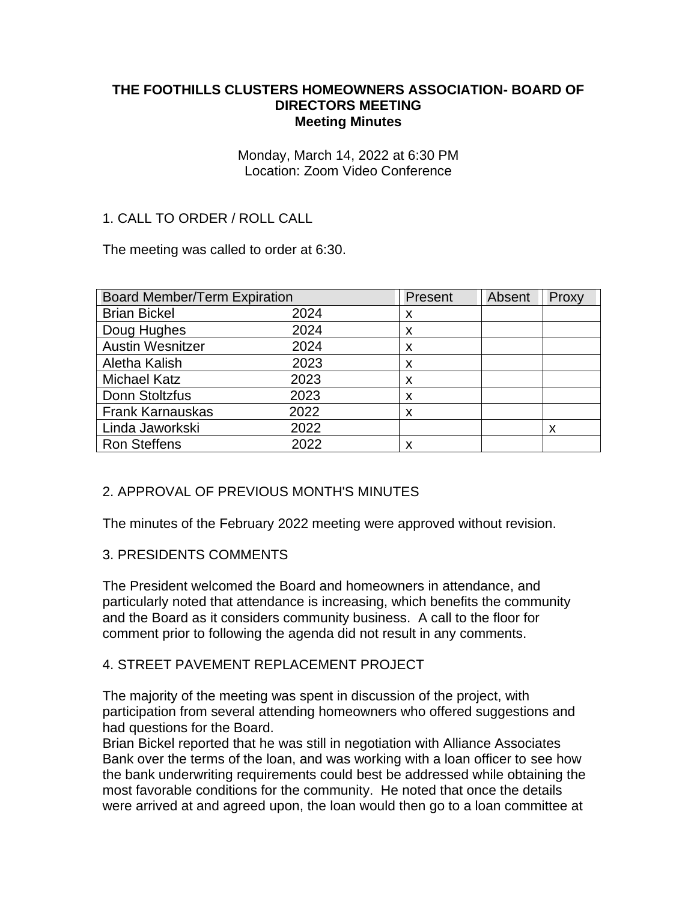### **THE FOOTHILLS CLUSTERS HOMEOWNERS ASSOCIATION- BOARD OF DIRECTORS MEETING Meeting Minutes**

Monday, March 14, 2022 at 6:30 PM Location: Zoom Video Conference

# 1. CALL TO ORDER / ROLL CALL

The meeting was called to order at 6:30.

| <b>Board Member/Term Expiration</b> |      | Present | Absent | Proxy |
|-------------------------------------|------|---------|--------|-------|
| <b>Brian Bickel</b>                 | 2024 | x       |        |       |
| Doug Hughes                         | 2024 | X       |        |       |
| <b>Austin Wesnitzer</b>             | 2024 | X       |        |       |
| Aletha Kalish                       | 2023 | X       |        |       |
| <b>Michael Katz</b>                 | 2023 | X       |        |       |
| Donn Stoltzfus                      | 2023 | X       |        |       |
| <b>Frank Karnauskas</b>             | 2022 | X       |        |       |
| Linda Jaworkski                     | 2022 |         |        | X     |
| <b>Ron Steffens</b>                 | 2022 | х       |        |       |

## 2. APPROVAL OF PREVIOUS MONTH'S MINUTES

The minutes of the February 2022 meeting were approved without revision.

## 3. PRESIDENTS COMMENTS

The President welcomed the Board and homeowners in attendance, and particularly noted that attendance is increasing, which benefits the community and the Board as it considers community business. A call to the floor for comment prior to following the agenda did not result in any comments.

## 4. STREET PAVEMENT REPLACEMENT PROJECT

The majority of the meeting was spent in discussion of the project, with participation from several attending homeowners who offered suggestions and had questions for the Board.

Brian Bickel reported that he was still in negotiation with Alliance Associates Bank over the terms of the loan, and was working with a loan officer to see how the bank underwriting requirements could best be addressed while obtaining the most favorable conditions for the community. He noted that once the details were arrived at and agreed upon, the loan would then go to a loan committee at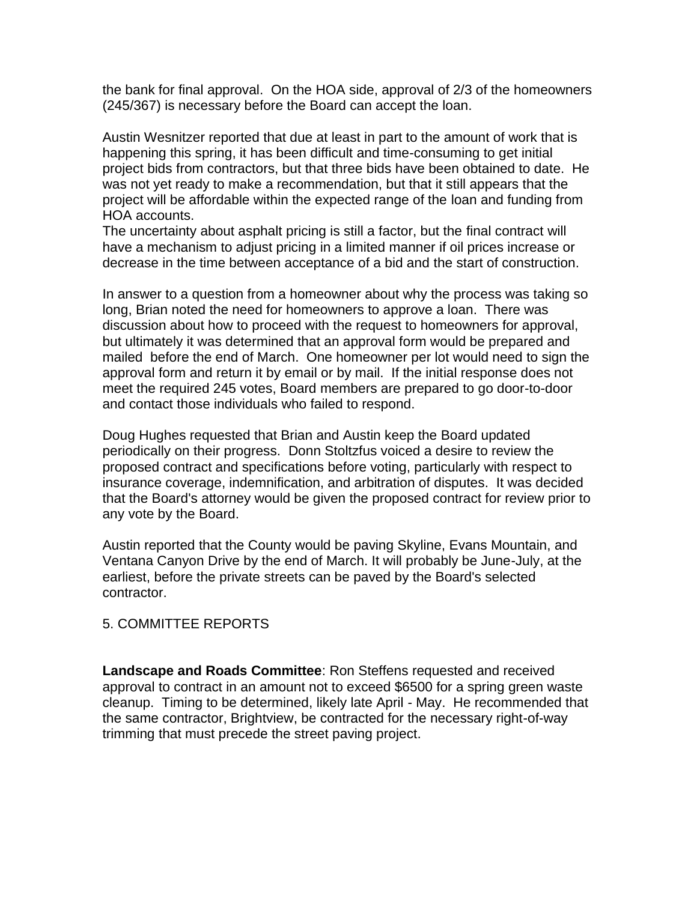the bank for final approval. On the HOA side, approval of 2/3 of the homeowners (245/367) is necessary before the Board can accept the loan.

Austin Wesnitzer reported that due at least in part to the amount of work that is happening this spring, it has been difficult and time-consuming to get initial project bids from contractors, but that three bids have been obtained to date. He was not yet ready to make a recommendation, but that it still appears that the project will be affordable within the expected range of the loan and funding from HOA accounts.

The uncertainty about asphalt pricing is still a factor, but the final contract will have a mechanism to adjust pricing in a limited manner if oil prices increase or decrease in the time between acceptance of a bid and the start of construction.

In answer to a question from a homeowner about why the process was taking so long, Brian noted the need for homeowners to approve a loan. There was discussion about how to proceed with the request to homeowners for approval, but ultimately it was determined that an approval form would be prepared and mailed before the end of March. One homeowner per lot would need to sign the approval form and return it by email or by mail. If the initial response does not meet the required 245 votes, Board members are prepared to go door-to-door and contact those individuals who failed to respond.

Doug Hughes requested that Brian and Austin keep the Board updated periodically on their progress. Donn Stoltzfus voiced a desire to review the proposed contract and specifications before voting, particularly with respect to insurance coverage, indemnification, and arbitration of disputes. It was decided that the Board's attorney would be given the proposed contract for review prior to any vote by the Board.

Austin reported that the County would be paving Skyline, Evans Mountain, and Ventana Canyon Drive by the end of March. It will probably be June-July, at the earliest, before the private streets can be paved by the Board's selected contractor.

## 5. COMMITTEE REPORTS

**Landscape and Roads Committee**: Ron Steffens requested and received approval to contract in an amount not to exceed \$6500 for a spring green waste cleanup. Timing to be determined, likely late April - May. He recommended that the same contractor, Brightview, be contracted for the necessary right-of-way trimming that must precede the street paving project.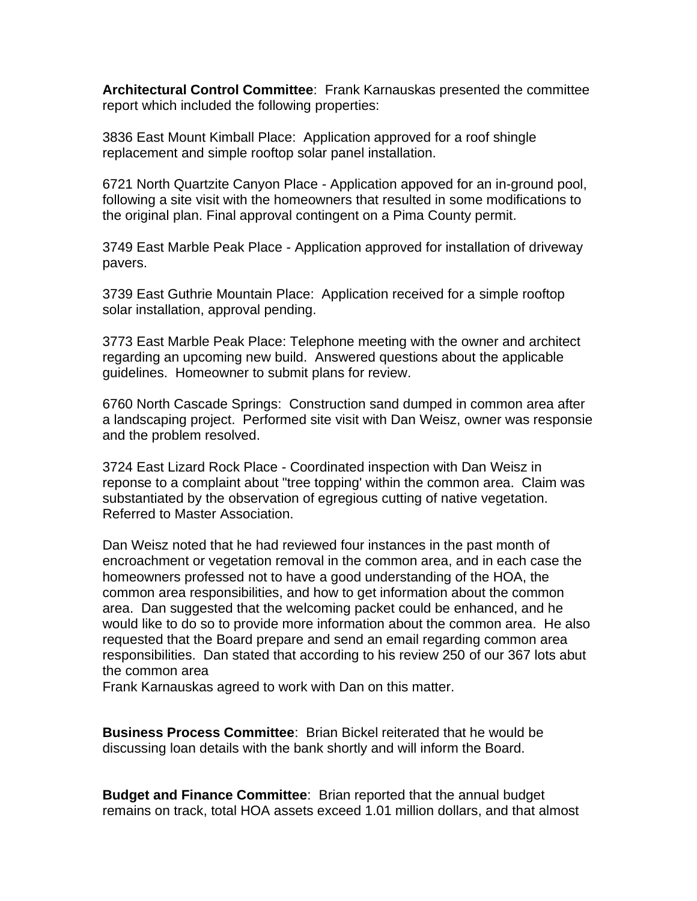**Architectural Control Committee**: Frank Karnauskas presented the committee report which included the following properties:

3836 East Mount Kimball Place: Application approved for a roof shingle replacement and simple rooftop solar panel installation.

6721 North Quartzite Canyon Place - Application appoved for an in-ground pool, following a site visit with the homeowners that resulted in some modifications to the original plan. Final approval contingent on a Pima County permit.

3749 East Marble Peak Place - Application approved for installation of driveway pavers.

3739 East Guthrie Mountain Place: Application received for a simple rooftop solar installation, approval pending.

3773 East Marble Peak Place: Telephone meeting with the owner and architect regarding an upcoming new build. Answered questions about the applicable guidelines. Homeowner to submit plans for review.

6760 North Cascade Springs: Construction sand dumped in common area after a landscaping project. Performed site visit with Dan Weisz, owner was responsie and the problem resolved.

3724 East Lizard Rock Place - Coordinated inspection with Dan Weisz in reponse to a complaint about "tree topping' within the common area. Claim was substantiated by the observation of egregious cutting of native vegetation. Referred to Master Association.

Dan Weisz noted that he had reviewed four instances in the past month of encroachment or vegetation removal in the common area, and in each case the homeowners professed not to have a good understanding of the HOA, the common area responsibilities, and how to get information about the common area. Dan suggested that the welcoming packet could be enhanced, and he would like to do so to provide more information about the common area. He also requested that the Board prepare and send an email regarding common area responsibilities. Dan stated that according to his review 250 of our 367 lots abut the common area

Frank Karnauskas agreed to work with Dan on this matter.

**Business Process Committee**: Brian Bickel reiterated that he would be discussing loan details with the bank shortly and will inform the Board.

**Budget and Finance Committee**: Brian reported that the annual budget remains on track, total HOA assets exceed 1.01 million dollars, and that almost